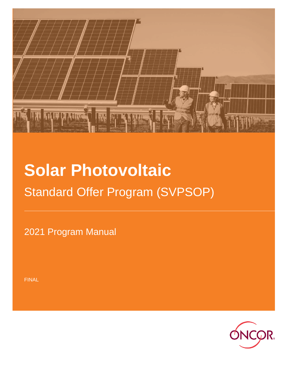

# **Solar Photovoltaic** Standard Offer Program (SVPSOP)

2021 Program Manual

FINAL

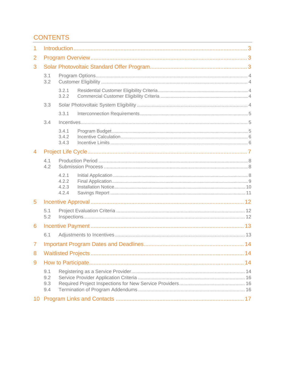# **CONTENTS**

| 1               |                          |                                  |  |  |  |  |  |  |  |
|-----------------|--------------------------|----------------------------------|--|--|--|--|--|--|--|
| 2               |                          |                                  |  |  |  |  |  |  |  |
| 3               |                          |                                  |  |  |  |  |  |  |  |
|                 | 3.1<br>3.2               |                                  |  |  |  |  |  |  |  |
|                 |                          | 3.2.1<br>3.2.2                   |  |  |  |  |  |  |  |
|                 | 3.3                      |                                  |  |  |  |  |  |  |  |
|                 |                          | 3.3.1                            |  |  |  |  |  |  |  |
|                 | 3.4                      |                                  |  |  |  |  |  |  |  |
|                 |                          | 3.4.1<br>3.4.2<br>3.4.3          |  |  |  |  |  |  |  |
| 4               |                          |                                  |  |  |  |  |  |  |  |
|                 | 4.1<br>4.2               |                                  |  |  |  |  |  |  |  |
|                 |                          | 4.2.1<br>4.2.2<br>4.2.3<br>4.2.4 |  |  |  |  |  |  |  |
| 5               |                          |                                  |  |  |  |  |  |  |  |
|                 | 5.1<br>5.2               |                                  |  |  |  |  |  |  |  |
| 6               |                          |                                  |  |  |  |  |  |  |  |
|                 | 6.1                      |                                  |  |  |  |  |  |  |  |
| $\overline{7}$  |                          |                                  |  |  |  |  |  |  |  |
|                 |                          |                                  |  |  |  |  |  |  |  |
| 9               |                          |                                  |  |  |  |  |  |  |  |
|                 | 9.1<br>9.2<br>9.3<br>9.4 |                                  |  |  |  |  |  |  |  |
| 10 <sup>°</sup> |                          |                                  |  |  |  |  |  |  |  |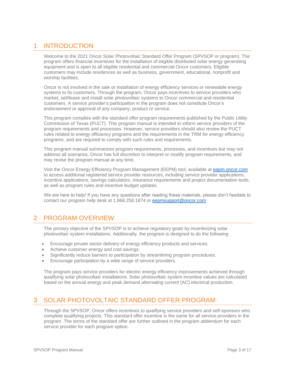# <span id="page-2-0"></span>1 INTRODUCTION

Welcome to the 2021 Oncor Solar Photovoltaic Standard Offer Program (SPVSOP or program). The program offers financial incentives for the installation of eligible distributed solar energy generating equipment and is open to all eligible residential and commercial Oncor customers. Eligible customers may include residences as well as business, government, educational, nonprofit and worship facilities.

Oncor is not involved in the sale or installation of energy efficiency services or renewable energy systems to its customers. Through the program, Oncor pays incentives to service providers who market, sell/lease and install solar photovoltaic systems to Oncor commercial and residential customers. A service provider's participation in the program does not constitute Oncor's endorsement or approval of any company, product or service.

This program complies with the standard offer program requirements published by the Public Utility Commission of Texas (PUCT). This program manual is intended to inform service providers of the program requirements and processes. However, service providers should also review the PUCT rules related to energy efficiency programs and the requirements in the TRM for energy efficiency programs, and are required to comply with such rules and requirements.

This program manual summarizes program requirements, processes, and incentives but may not address all scenarios. Oncor has full discretion to interpret or modify program requirements, and may revise the program manual at any time.

Visit the Oncor Energy Efficiency Program Management (EEPM) tool, available at [eepm.oncor.com](https://www.oncoreepm.com/)  to access additional registered service provider resources, including service provider applications, incentive applications, savings calculators, insurance requirements and project documentation tools, as well as program rules and incentive budget updates.

We are here to help! If you have any questions after reading these materials, please don't hesitate to contact our program help desk at 1.866.258.1874 or [eepmsupport@oncor.com](mailto:eepmsupport@oncor.com)

# <span id="page-2-1"></span>2 PROGRAM OVERVIEW

The primary objective of the SPVSOP is to achieve regulatory goals by incentivizing solar photovoltaic system installations. Additionally, the program is designed to do the following:

- Encourage private sector delivery of energy efficiency products and services.
- Achieve customer energy and cost savings.
- Significantly reduce barriers to participation by streamlining program procedures.
- Encourage participation by a wide range of service providers.

The program pays service providers for electric energy efficiency improvements achieved through qualifying solar photovoltaic installations. Solar photovoltaic system incentive values are calculated based on the annual energy and peak demand alternating current (AC) electrical production.

# <span id="page-2-2"></span>3 SOLAR PHOTOVOLTAIC STANDARD OFFER PROGRAM

Through the SPVSOP, Oncor offers incentives to qualifying service providers and self-sponsors who complete qualifying projects. This standard offer incentive is the same for all service providers in the program. The terms of the standard offer are further outlined in the program addendum for each service provider for each program option.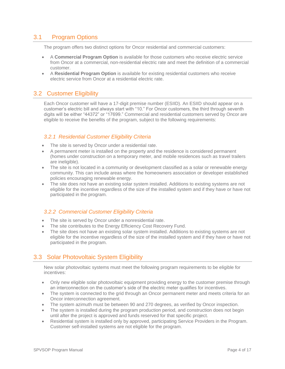## 3.1 Program Options

<span id="page-3-0"></span>The program offers two distinct options for Oncor residential and commercial customers:

- A **Commercial Program Option** is available for those customers who receive electric service from Oncor at a commercial, non-residential electric rate and meet the definition of a commercial customer.
- A **Residential Program Option** is available for existing residential customers who receive electric service from Oncor at a residential electric rate.

## <span id="page-3-1"></span>3.2 Customer Eligibility

Each Oncor customer will have a 17-digit premise number (ESIID). An ESIID should appear on a customer's electric bill and always start with "10." For Oncor customers, the third through seventh digits will be either "44372" or "17699." Commercial and residential customers served by Oncor are eligible to receive the benefits of the program, subject to the following requirements:

## <span id="page-3-2"></span>*3.2.1 Residential Customer Eligibility Criteria*

- The site is served by Oncor under a residential rate.
- A permanent meter is installed on the property and the residence is considered permanent (homes under construction on a temporary meter, and mobile residences such as travel trailers are ineligible).
- The site is not located in a community or development classified as a solar or renewable energy community. This can include areas where the homeowners association or developer established policies encouraging renewable energy.
- The site does not have an existing solar system installed. Additions to existing systems are not eligible for the incentive regardless of the size of the installed system and if they have or have not participated in the program.

## <span id="page-3-3"></span>*3.2.2 Commercial Customer Eligibility Criteria*

- The site is served by Oncor under a nonresidential rate.
- The site contributes to the Energy Efficiency Cost Recovery Fund.
- The site does not have an existing solar system installed. Additions to existing systems are not eligible for the incentive regardless of the size of the installed system and if they have or have not participated in the program.

## <span id="page-3-4"></span>3.3 Solar Photovoltaic System Eligibility

New solar photovoltaic systems must meet the following program requirements to be eligible for incentives:

- Only new eligible solar photovoltaic equipment providing energy to the customer premise through an interconnection on the customer's side of the electric meter qualifies for incentives.
- The system is connected to the grid through an Oncor permanent meter and meets criteria for an Oncor interconnection agreement.
- The system azimuth must be between 90 and 270 degrees, as verified by Oncor inspection.
- The system is installed during the program production period, and construction does not begin until after the project is approved and funds reserved for that specific project.
- Residential system is installed only by approved, participating Service Providers in the Program. Customer self-installed systems are not eligible for the program.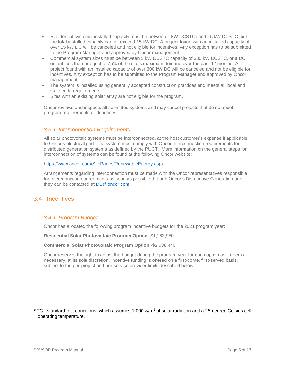- Residential systems' installed capacity must be between 1 kW DCSTC1 and 15 kW DCSTC, but the total installed capacity cannot exceed 15 kW DC. A project found with an installed capacity of over 15 kW DC will be canceled and not eligible for incentives. Any exception has to be submitted to the Program Manager and approved by Oncor management.
- Commercial system sizes must be between 5 kW DCSTC capacity of 300 kW DCSTC, or a DC output less than or equal to 75% of the site's maximum demand over the past 12 months. A project found with an installed capacity of over 300 kW DC will be canceled and not be eligible for incentives. Any exception has to be submitted to the Program Manager and approved by Oncor management.
- The system is installed using generally accepted construction practices and meets all local and state code requirements.
- Sites with an existing solar array are not eligible for the program.

Oncor reviews and inspects all submitted systems and may cancel projects that do not meet program requirements or deadlines.

#### <span id="page-4-0"></span>*3.3.1 Interconnection Requirements*

All solar photovoltaic systems must be interconnected, at the host customer's expense if applicable, to Oncor's electrical grid. The system must comply with Oncor interconnection requirements for distributed generation systems as defined by the PUCT. More information on the general steps for interconnection of systems can be found at the following Oncor website:

#### <https://www.oncor.com/SitePages/RenewableEnergy.aspx>

Arrangements regarding interconnection must be made with the Oncor representatives responsible for interconnection agreements as soon as possible through Oncor's Distributive Generation and they can be contacted at [DG@oncor.com](mailto:DG@oncor.com).

## <span id="page-4-2"></span><span id="page-4-1"></span>3.4 Incentives

## *3.4.1 Program Budget*

Oncor has allocated the following program incentive budgets for the 2021 program year:

**Residential Solar Photovoltaic Program Option**- \$1,163,950

**Commercial Solar Photovoltaic Program Option** -\$2,038,440

Oncor reserves the right to adjust the budget during the program year for each option as it deems necessary, at its sole discretion. Incentive funding is offered on a first-come, first-served basis, subject to the per-project and per-service provider limits described below.

 $\overline{\phantom{a}}$ 

STC - standard test conditions, which assumes 1,000  $w/m^2$  of solar radiation and a 25-degree Celsius cell operating temperature.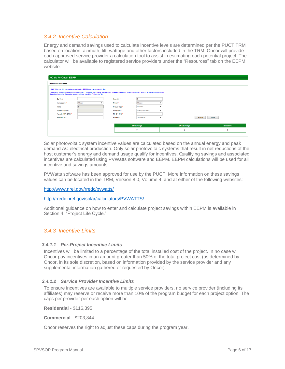## <span id="page-5-0"></span>*3.4.2 Incentive Calculation*

Energy and demand savings used to calculate incentive levels are determined per the PUCT TRM based on location, azimuth, tilt, wattage and other factors included in the TRM. Oncor will provide each approved service provider a calculation tool to assist in estimating each potential project. The calculator will be available to registered service providers under the "Resources" tab on the EEPM website.

| <b>Solar PV Calculator</b> |    |                                                                                 |   |                                                                                                                                                                                                                            |              |                   |                    |           |
|----------------------------|----|---------------------------------------------------------------------------------|---|----------------------------------------------------------------------------------------------------------------------------------------------------------------------------------------------------------------------------|--------------|-------------------|--------------------|-----------|
|                            |    | 1) All Values in this calculator are estimates. EEPM Incentive amount is final. |   |                                                                                                                                                                                                                            |              |                   |                    |           |
|                            |    |                                                                                 |   | 2) Projects are capped based on Residential or Commercial accounts. Please check program manual for Project Incentive Cap. (DO NOT QUOTE Customers<br>based on Incentive Calculator Amount without checking Project CAPS). |              |                   |                    |           |
| Zip Code *                 | ÷. |                                                                                 |   | Quantity <sup>*</sup>                                                                                                                                                                                                      | $\sim$<br>×. | 10                |                    |           |
| Manufacturer *             | ÷. | Choose                                                                          | v | Model *                                                                                                                                                                                                                    | $\sim$       | Choose            |                    |           |
| Watts                      | ÷. | $\mathbf 0$                                                                     |   | Module Type *                                                                                                                                                                                                              | ÷            | Standard          |                    |           |
| <b>System Capacity</b>     | ÷. |                                                                                 |   | Array Type *                                                                                                                                                                                                               | ÷            | Fixed (Open Rack) |                    |           |
| Azimuth (90° - 270°) * :   |    |                                                                                 |   | Tilt $(0^{\circ} - 90^{\circ})$ *                                                                                                                                                                                          | ÷            |                   |                    |           |
| Shading (%)*               | ÷  |                                                                                 |   | Program <sup>*</sup>                                                                                                                                                                                                       | ٠            | Commercial        | Calculate          | Clear     |
|                            |    |                                                                                 |   |                                                                                                                                                                                                                            |              |                   |                    |           |
|                            |    |                                                                                 |   |                                                                                                                                                                                                                            |              | <b>kW Savings</b> | <b>kWh Savings</b> | Incentive |

Solar photovoltaic system incentive values are calculated based on the annual energy and peak demand AC electrical production. Only solar photovoltaic systems that result in net reductions of the host customer's energy and demand usage qualify for incentives. Qualifying savings and associated incentives are calculated using PVWatts software and EEPM. EEPM calculations will be used for all incentive and savings amounts.

PVWatts software has been approved for use by the PUCT. More information on these savings values can be located in the TRM, Version 8.0, Volume 4, and at either of the following websites:

<http://www.nrel.gov/rredc/pvwatts/>

[http://rredc.nrel.gov/solar/calculators/PVWATTS/](http://rredc.nrel.gov/solar/calculators/PVWATTS/version1/)

Additional guidance on how to enter and calculate project savings within EEPM is available in Section 4, "Project Life Cycle."

## <span id="page-5-1"></span>*3.4.3 Incentive Limits*

#### *3.4.1.1 Per-Project Incentive Limits*

Incentives will be limited to a percentage of the total installed cost of the project. In no case will Oncor pay incentives in an amount greater than 50% of the total project cost (as determined by Oncor, in its sole discretion, based on information provided by the service provider and any supplemental information gathered or requested by Oncor).

#### *3.4.1.2 Service Provider Incentive Limits*

To ensure incentives are available to multiple service providers, no service provider (including its affiliates) may reserve or receive more than 10% of the program budget for each project option. The caps per provider per each option will be:

**Residential** - \$116,395

**Commercial** - \$203,844

Oncor reserves the right to adjust these caps during the program year.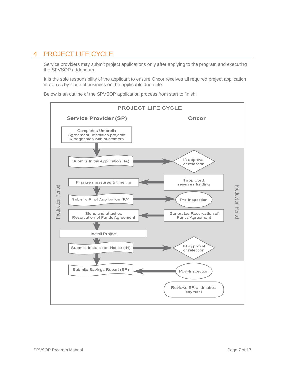# <span id="page-6-0"></span>4 PROJECT LIFE CYCLE

Service providers may submit project applications only after applying to the program and executing the SPVSOP addendum.

It is the sole responsibility of the applicant to ensure Oncor receives all required project application materials by close of business on the applicable due date.

**PROJECT LIFE CYCLE Service Provider (SP)** Oncor Completes Umbrella Agreement; Identifies projects & negotiates with customers IA approval Submits Initial Application (IA) or relection If approved, Finalize measures & timeline reserves funding **Production Period Production Perioc** Submits Final Application (FA) Pre-Inspection Signs and attaches Generates Reservation of Reservation of Funds Agreement Funds Agreement Install Project IN approval Submits Installation Notice (IN) or relection Submits Savings Report (SR) Post-Inspection Reviews SR andmakes payment

Below is an outline of the SPVSOP application process from start to finish: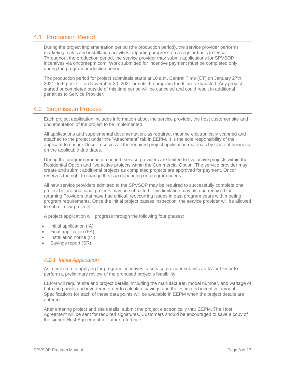## <span id="page-7-0"></span>4.1 Production Period

During the project implementation period (the production period), the service provider performs marketing, sales and installation activities, reporting progress on a regular basis to Oncor. Throughout the production period, the service provider may submit applications for SPVSOP incentives via oncoreepm.com. Work submitted for incentive payment must be completed only during the program production period.

The production period for project submittals starts at 10 a.m. Central Time (CT) on January 27th, 2021, to 5 p.m. CT on November 30, 2021 or until the program funds are exhausted. Any project started or completed outside of this time period will be canceled and could result in additional penalties to Service Provider.

## <span id="page-7-1"></span>4.2 Submission Process

Each project application includes information about the service provider, the host customer site and documentation of the project to be implemented.

All applications and supplemental documentation, as required, must be electronically scanned and attached to the project under the "Attachment" tab in EEPM. It is the sole responsibility of the applicant to ensure Oncor receives all the required project application materials by close of business on the applicable due dates.

During the program production period, service providers are limited to five active projects within the Residential Option and five active projects within the Commercial Option. The service provider may create and submit additional projects as completed projects are approved for payment. Oncor reserves the right to change this cap depending on program needs.

All new service providers admitted to the SPVSOP may be required to successfully complete one project before additional projects may be submitted. This limitation may also be required for returning Providers that have had critical, reoccurring issues in past program years with meeting program requirements. Once the initial project passes inspection, the service provider will be allowed to submit new projects.

A project application will progress through the following four phases:

- Initial application (IA)
- Final application (FA)
- Installation notice (IN)
- Savings report (SR)

#### <span id="page-7-2"></span>*4.2.1 Initial Application*

As a first step to applying for program incentives, a service provider submits an IA for Oncor to perform a preliminary review of the proposed project's feasibility.

EEPM will require site and project details, including the manufacturer, model number, and wattage of both the panels and inverter in order to calculate savings and the estimated incentive amount. Specifications for each of these data points will be available in EEPM when the project details are entered.

After entering project and site details, submit the project electronically thru EEPM, The Host Agreement will be sent for required signatures. Customers should be encouraged to save a copy of the signed Host Agreement for future reference.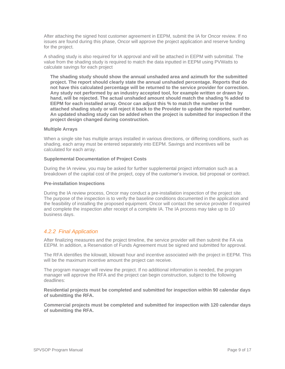After attaching the signed host customer agreement in EEPM, submit the IA for Oncor review. If no issues are found during this phase, Oncor will approve the project application and reserve funding for the project.

A shading study is also required for IA approval and will be attached in EEPM with submittal. The value from the shading study is required to match the data inputted in EEPM using PVWatts to calculate savings for each project

**The shading study should show the annual unshaded area and azimuth for the submitted project. The report should clearly state the annual unshaded percentage. Reports that do not have this calculated percentage will be returned to the service provider for correction. Any study not performed by an industry accepted tool, for example written or drawn by hand, will be rejected. The actual unshaded amount should match the shading % added to EEPM for each installed array. Oncor can adjust this % to match the number in the attached shading study or will reject it back to the Provider to update the reported number. An updated shading study can be added when the project is submitted for inspection if the project design changed during construction.** 

#### **Multiple Arrays**

When a single site has multiple arrays installed in various directions, or differing conditions, such as shading, each array must be entered separately into EEPM. Savings and incentives will be calculated for each array.

#### **Supplemental Documentation of Project Costs**

During the IA review, you may be asked for further supplemental project information such as a breakdown of the capital cost of the project, copy of the customer's invoice, bid proposal or contract.

#### **Pre-installation Inspections**

During the IA review process, Oncor may conduct a pre-installation inspection of the project site. The purpose of the inspection is to verify the baseline conditions documented in the application and the feasibility of installing the proposed equipment. Oncor will contact the service provider if required and complete the inspection after receipt of a complete IA. The IA process may take up to 10 business days.

#### <span id="page-8-0"></span>*4.2.2 Final Application*

After finalizing measures and the project timeline, the service provider will then submit the FA via EEPM. In addition, a Reservation of Funds Agreement must be signed and submitted for approval.

The RFA identifies the kilowatt, kilowatt hour and incentive associated with the project in EEPM. This will be the maximum incentive amount the project can receive.

The program manager will review the project. If no additional information is needed, the program manager will approve the RFA and the project can begin construction, subject to the following deadlines:

**Residential projects must be completed and submitted for inspection within 90 calendar days of submitting the RFA.**

**Commercial projects must be completed and submitted for inspection with 120 calendar days of submitting the RFA.**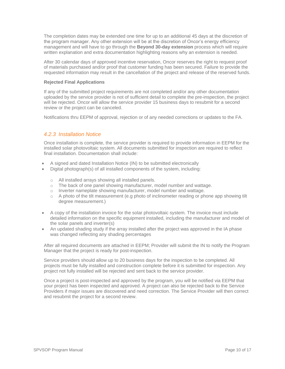The completion dates may be extended one time for up to an additional 45 days at the discretion of the program manager. Any other extension will be at the discretion of Oncor's energy efficiency management and will have to go through the **Beyond 30-day extension** process which will require written explanation and extra documentation highlighting reasons why an extension is needed.

After 30 calendar days of approved incentive reservation, Oncor reserves the right to request proof of materials purchased and/or proof that customer funding has been secured. Failure to provide the requested information may result in the cancellation of the project and release of the reserved funds.

#### **Rejected Final Applications**

If any of the submitted project requirements are not completed and/or any other documentation uploaded by the service provider is not of sufficient detail to complete the pre-inspection, the project will be rejected. Oncor will allow the service provider 15 business days to resubmit for a second review or the project can be canceled.

Notifications thru EEPM of approval, rejection or of any needed corrections or updates to the FA.

#### <span id="page-9-0"></span>*4.2.3 Installation Notice*

Once installation is complete, the service provider is required to provide information in EEPM for the installed solar photovoltaic system. All documents submitted for inspection are required to reflect final installation. Documentation shall include:

- A signed and dated Installation Notice (IN) to be submitted electronically
- Digital photograph(s) of all installed components of the system, including:
	- o All installed arrays showing all installed panels.
	- o The back of one panel showing manufacturer, model number and wattage.
	- o Inverter nameplate showing manufacturer, model number and wattage.
	- $\circ$  A photo of the tilt measurement (e.g photo of inclinometer reading or phone app showing tilt degree measurement.)
- A copy of the installation invoice for the solar photovoltaic system. The invoice must include detailed information on the specific equipment installed, including the manufacturer and model of the solar panels and inverter(s)
- An updated shading study if the array installed after the project was approved in the IA phase was changed reflecting any shading percentages

After all required documents are attached in EEPM; Provider will submit the IN to notify the Program Manager that the project is ready for post-inspection.

Service providers should allow up to 20 business days for the inspection to be completed. All projects must be fully installed and construction complete before it is submitted for inspection. Any project not fully installed will be rejected and sent back to the service provider.

Once a project is post-inspected and approved by the program, you will be notified via EEPM that your project has been inspected and approved. A project can also be rejected back to the Service Providers if major issues are discovered and need correction. The Service Provider will then correct and resubmit the project for a second review.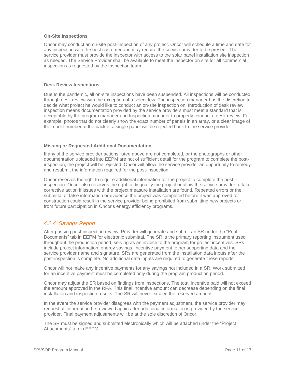#### **On-Site Inspections**

Oncor may conduct an on-site post-inspection of any project. Oncor will schedule a time and date for any inspection with the host customer and may require the service provider to be present. The service provider must provide the inspector with access to the solar panel installation site inspection as needed. The Service Provider shall be available to meet the inspector on site for all commercial inspection as requested by the Inspection team.

#### **Desk Review Inspections**

Due to the pandemic, all on-site inspections have been suspended. All inspections will be conducted through desk review with the exception of a select few. The inspection manager has the discretion to decide what project he would like to conduct an on-site inspection on. Introduction of desk review inspection means documentation provided by the service providers must meet a standard that is acceptable by the program manager and Inspection manager to properly conduct a desk review. For example, photos that do not clearly show the exact number of panels in an array, or a clear image of the model number at the back of a single panel will be rejected back to the service provider.

#### **Missing or Requested Additional Documentation**

If any of the service provider actions listed above are not completed, or the photographs or other documentation uploaded into EEPM are not of sufficient detail for the program to complete the postinspection, the project will be rejected. Oncor will allow the service provider an opportunity to remedy and resubmit the information required for the post-inspection.

Oncor reserves the right to require additional information for the project to complete the postinspection. Oncor also reserves the right to disqualify the project or allow the service provider to take corrective action if issues with the project measure installation are found. Repeated errors or the submittal of false information or evidence the project was completed before it was approved for construction could result in the service provider being prohibited from submitting new projects or from future participation in Oncor's energy efficiency programs.

## <span id="page-10-0"></span>*4.2.4 Savings Report*

After passing post-inspection review, Provider will generate and submit an SR under the "Print Documents" tab in EEPM for electronic submittal. The SR is the primary reporting instrument used throughout the production period, serving as an invoice to the program for project incentives. SRs include project information, energy savings, incentive payment, other supporting data and the service provider name and signature. SRs are generated from the installation data inputs after the post-inspection is complete. No additional data inputs are required to generate these reports.

Oncor will not make any incentive payments for any savings not included in a SR. Work submitted for an incentive payment must be completed only during the program production period.

Oncor may adjust the SR based on findings from inspections. The total incentive paid will not exceed the amount approved in the RFA. This final incentive amount can decrease depending on the final installation and inspection results. The SR will never exceed the reserved amount.

In the event the service provider disagrees with the payment adjustment, the service provider may request all information be reviewed again after additional information is provided by the service provider. Final payment adjustments will be at the sole discretion of Oncor.

The SR must be signed and submitted electronically which will be attached under the "Project Attachments" tab in EEPM.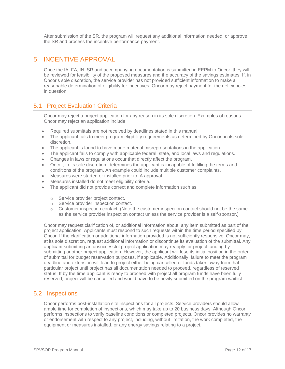After submission of the SR, the program will request any additional information needed, or approve the SR and process the incentive performance payment.

# <span id="page-11-0"></span>5 INCENTIVE APPROVAL

Once the IA, FA, IN, SR and accompanying documentation is submitted in EEPM to Oncor, they will be reviewed for feasibility of the proposed measures and the accuracy of the savings estimates. If, in Oncor's sole discretion, the service provider has not provided sufficient information to make a reasonable determination of eligibility for incentives, Oncor may reject payment for the deficiencies in question.

## <span id="page-11-1"></span>5.1 Project Evaluation Criteria

Oncor may reject a project application for any reason in its sole discretion. Examples of reasons Oncor may reject an application include:

- Required submittals are not received by deadlines stated in this manual.
- The applicant fails to meet program eligibility requirements as determined by Oncor, in its sole discretion.
- The applicant is found to have made material misrepresentations in the application.
- The applicant fails to comply with applicable federal, state, and local laws and regulations.
- Changes in laws or regulations occur that directly affect the program.
- Oncor, in its sole discretion, determines the applicant is incapable of fulfilling the terms and conditions of the program. An example could include multiple customer complaints.
- Measures were started or installed prior to IA approval.
- Measures installed do not meet eligibility criteria.
- The applicant did not provide correct and complete information such as:
	- o Service provider project contact.
	- o Service provider inspection contact.
	- $\circ$  Customer inspection contact. (Note the customer inspection contact should not be the same as the service provider inspection contact unless the service provider is a self-sponsor.)

Oncor may request clarification of, or additional information about, any item submitted as part of the project application. Applicants must respond to such requests within the time period specified by Oncor. If the clarification or additional information provided is not sufficiently responsive, Oncor may, at its sole discretion, request additional information or discontinue its evaluation of the submittal. Any applicant submitting an unsuccessful project application may reapply for project funding by submitting another project application. However, the applicant will lose its initial position in the order of submittal for budget reservation purposes, if applicable. Additionally, failure to meet the program deadline and extension will lead to project either being cancelled or funds taken away from that particular project until project has all documentation needed to proceed, regardless of reserved status. If by the time applicant is ready to proceed with project all program funds have been fully reserved, project will be cancelled and would have to be newly submitted on the program waitlist.

## <span id="page-11-2"></span>5.2 Inspections

Oncor performs post-installation site inspections for all projects. Service providers should allow ample time for completion of inspections, which may take up to 20 business days. Although Oncor performs inspections to verify baseline conditions or completed projects, Oncor provides no warranty or endorsement with respect to any project, including, without limitation, the work completed, the equipment or measures installed, or any energy savings relating to a project.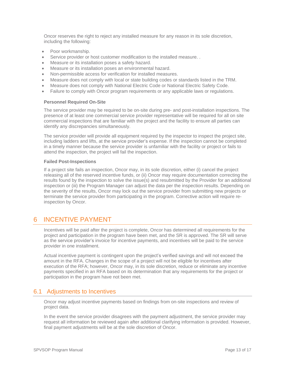Oncor reserves the right to reject any installed measure for any reason in its sole discretion, including the following:

- Poor workmanship.
- Service provider or host customer modification to the installed measure. .
- Measure or its installation poses a safety hazard.
- Measure or its installation poses an environmental hazard.
- Non-permissible access for verification for installed measures.
- Measure does not comply with local or state building codes or standards listed in the TRM.
- Measure does not comply with National Electric Code or National Electric Safety Code.
- Failure to comply with Oncor program requirements or any applicable laws or regulations.

#### **Personnel Required On-Site**

The service provider may be required to be on-site during pre- and post-installation inspections. The presence of at least one commercial service provider representative will be required for all on site commercial inspections that are familiar with the project and the facility to ensure all parties can identify any discrepancies simultaneously.

The service provider will provide all equipment required by the inspector to inspect the project site, including ladders and lifts, at the service provider's expense. If the inspection cannot be completed in a timely manner because the service provider is unfamiliar with the facility or project or fails to attend the inspection, the project will fail the inspection.

#### **Failed Post-Inspections**

If a project site fails an inspection, Oncor may, in its sole discretion, either (i) cancel the project releasing all of the reserved incentive funds, or (ii) Oncor may require documentation correcting the results found by the inspection to solve the issue(s) and resubmitted by the Provider for an additional inspection or (iii) the Program Manager can adjust the data per the inspection results. Depending on the severity of the results, Oncor may lock out the service provider from submitting new projects or terminate the service provider from participating in the program. Corrective action will require reinspection by Oncor.

# <span id="page-12-0"></span>6 INCENTIVE PAYMENT

Incentives will be paid after the project is complete, Oncor has determined all requirements for the project and participation in the program have been met, and the SR is approved. The SR will serve as the service provider's invoice for incentive payments, and incentives will be paid to the service provider in one installment.

Actual incentive payment is contingent upon the project's verified savings and will not exceed the amount in the RFA. Changes in the scope of a project will not be eligible for incentives after execution of the RFA; however, Oncor may, in its sole discretion, reduce or eliminate any incentive payments specified in an RFA based on its determination that any requirements for the project or participation in the program have not been met.

## <span id="page-12-1"></span>6.1 Adjustments to Incentives

Oncor may adjust incentive payments based on findings from on-site inspections and review of project data.

In the event the service provider disagrees with the payment adjustment, the service provider may request all information be reviewed again after additional clarifying information is provided. However, final payment adjustments will be at the sole discretion of Oncor.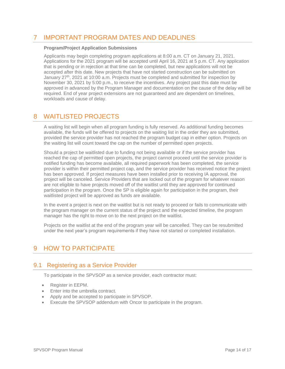# <span id="page-13-0"></span>7 IMPORTANT PROGRAM DATES AND DEADLINES

#### **Program/Project Application Submissions**

Applicants may begin completing program applications at 8:00 a.m. CT on January 21, 2021. Applications for the 2021 program will be accepted until April 16, 2021 at 5 p.m. CT. Any application that is pending or in rejection at that time can be completed, but new applications will not be accepted after this date. New projects that have not started construction can be submitted on January 27<sup>th</sup>, 2021 at 10:00 a.m. Projects must be completed and submitted for inspection by November 30, 2021 by 5:00 p.m., to receive the incentives. Any project past this date must be approved in advanced by the Program Manager and documentation on the cause of the delay will be required. End of year project extensions are not guaranteed and are dependent on timelines, workloads and cause of delay.

## <span id="page-13-1"></span>8 WAITLISTED PROJECTS

A waiting list will begin when all program funding is fully reserved. As additional funding becomes available, the funds will be offered to projects on the waiting list in the order they are submitted, provided the service provider has not reached the program budget cap in either option. Projects on the waiting list will count toward the cap on the number of permitted open projects.

Should a project be waitlisted due to funding not being available or if the service provider has reached the cap of permitted open projects, the project cannot proceed until the service provider is notified funding has become available, all required paperwork has been completed, the service provider is within their permitted project cap, and the service provider has received notice the project has been approved. If project measures have been installed prior to receiving IA approval, the project will be canceled. Service Providers that are locked out of the program for whatever reason are not eligible to have projects moved off of the waitlist until they are approved for continued participation in the program. Once the SP is eligible again for participation in the program, their waitlisted project will be approved as funds are available.

In the event a project is next on the waitlist but is not ready to proceed or fails to communicate with the program manager on the current status of the project and the expected timeline, the program manager has the right to move on to the next project on the waitlist.

Projects on the waitlist at the end of the program year will be cancelled. They can be resubmitted under the next year's program requirements if they have not started or completed installation.

# <span id="page-13-2"></span>9 HOW TO PARTICIPATE

## <span id="page-13-3"></span>9.1 Registering as a Service Provider

To participate in the SPVSOP as a service provider, each contractor must:

- Register in EEPM.
- Enter into the umbrella contract.
- Apply and be accepted to participate in SPVSOP.
- Execute the SPVSOP addendum with Oncor to participate in the program.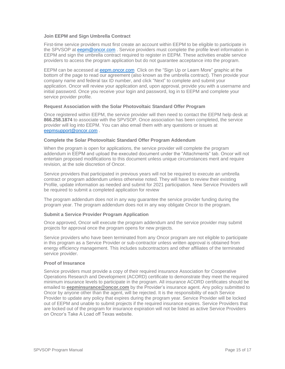#### **Join EEPM and Sign Umbrella Contract**

First-time service providers must first create an account within EEPM to be eligible to participate in the SPVSOP at [eepm@oncor.com](mailto:eepm@oncor.com) . Service providers must complete the profile level information in EEPM and sign the umbrella contract required to register in EEPM. These activities enable service providers to access the program application but do not guarantee acceptance into the program.

EEPM can be accessed at [eepm.oncor.com](https://www.oncoreepm.com/) Click on the "Sign Up or Learn More" graphic at the bottom of the page to read our agreement (also known as the umbrella contract). Then provide your company name and federal tax ID number, and click "Next" to complete and submit your application. Oncor will review your application and, upon approval, provide you with a username and initial password. Once you receive your login and password, log in to EEPM and complete your service provider profile.

#### **Request Association with the Solar Photovoltaic Standard Offer Program**

Once registered within EEPM, the service provider will then need to contact the EEPM help desk at **866.258.1874** to associate with the SPVSOP. Once association has been completed, the service provider will log into EEPM. You can also email them with any questions or issues at [eepmsupport@oncor.com](mailto:eepmsupport@oncor.com) .

#### **Complete the Solar Photovoltaic Standard Offer Program Addendum**

When the program is open for applications, the service provider will complete the program addendum in EEPM and upload the executed document under the "Attachments" tab. Oncor will not entertain proposed modifications to this document unless unique circumstances merit and require revision, at the sole discretion of Oncor.

Service providers that participated in previous years will not be required to execute an umbrella contract or program addendum unless otherwise noted. They will have to review their existing Profile, update information as needed and submit for 2021 participation. New Service Providers will be required to submit a completed application for review

The program addendum does not in any way guarantee the service provider funding during the program year. The program addendum does not in any way obligate Oncor to the program.

#### **Submit a Service Provider Program Application**

Once approved, Oncor will execute the program addendum and the service provider may submit projects for approval once the program opens for new projects.

Service providers who have been terminated from any Oncor program are not eligible to participate in this program as a Service Provider or sub-contractor unless written approval is obtained from energy efficiency management. This includes subcontractors and other affiliates of the terminated service provider.

#### **Proof of Insurance**

Service providers must provide a copy of their required insurance Association for Cooperative Operations Research and Development (ACORD) certificate to demonstrate they meet the required minimum insurance levels to participate in the program. All insurance ACORD certificates should be emailed to **eepminsurance@oncor.com** by the Provider's insurance agent. Any policy submitted to Oncor by anyone other than the agent, will be rejected. It is the responsibility of each Service Provider to update any policy that expires during the program year. Service Provider will be locked out of EEPM and unable to submit projects if the required insurance expires. Service Providers that are locked out of the program for insurance expiration will not be listed as active Service Providers on Oncor's Take A Load off Texas website.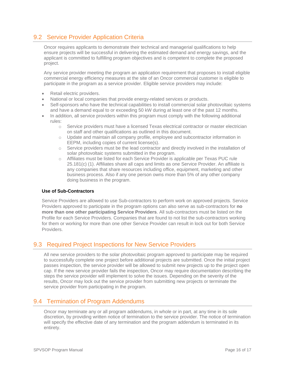## <span id="page-15-0"></span>9.2 Service Provider Application Criteria

Oncor requires applicants to demonstrate their technical and managerial qualifications to help ensure projects will be successful in delivering the estimated demand and energy savings, and the applicant is committed to fulfilling program objectives and is competent to complete the proposed project.

Any service provider meeting the program an application requirement that proposes to install eligible commercial energy efficiency measures at the site of an Oncor commercial customer is eligible to participate in the program as a service provider. Eligible service providers may include:

- Retail electric providers.
- National or local companies that provide energy-related services or products.
- Self-sponsors who have the technical capabilities to install commercial solar photovoltaic systems and have a demand equal to or exceeding 50 kW during at least one of the past 12 months.
- In addition, all service providers within this program must comply with the following additional rules:
	- o Service providers must have a licensed Texas electrical contractor or master electrician on staff and other qualifications as outlined in this document.
	- o Update and maintain all company profile, employee and subcontractor information in EEPM, including copies of current license(s).
	- $\circ$  Service providers must be the lead contractor and directly involved in the installation of solar photovoltaic systems submitted in the program.
	- o Affiliates must be listed for each Service Provider is applicable per Texas PUC rule 25.181(c) (1). Affiliates share all caps and limits as one Service Provider. An affiliate is any companies that share resources including office, equipment, marketing and other business process. Also if any one person owns more than 5% of any other company doing business in the program.

#### **Use of Sub-Contractors**

Service Providers are allowed to use Sub-contractors to perform work on approved projects. Service Providers approved to participate in the program options can also serve as sub-contractors for **no more than one other participating Service Providers**. All sub-contractors must be listed on the Profile for each Service Providers. Companies that are found to not list the sub-contractors working for them or working for more than one other Service Provider can result in lock out for both Service Providers.

## <span id="page-15-1"></span>9.3 Required Project Inspections for New Service Providers

All new service providers to the solar photovoltaic program approved to participate may be required to successfully complete one project before additional projects are submitted. Once the initial project passes inspection, the service provider will be allowed to submit new projects up to the project open cap. If the new service provider fails the inspection, Oncor may require documentation describing the steps the service provider will implement to solve the issues. Depending on the severity of the results, Oncor may lock out the service provider from submitting new projects or terminate the service provider from participating in the program.

## <span id="page-15-2"></span>9.4 Termination of Program Addendums

Oncor may terminate any or all program addendums, in whole or in part, at any time in its sole discretion, by providing written notice of termination to the service provider. The notice of termination will specify the effective date of any termination and the program addendum is terminated in its entirety.